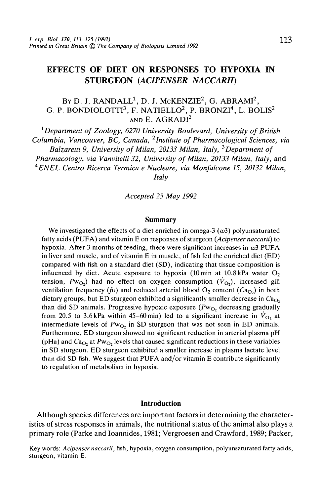# EFFECTS OF DIET ON RESPONSES TO HYPOXIA IN STURGEON *(ACIPENSER NACCARIT)*

## By D. J. RANDALL<sup>1</sup>, D. J. McKENZIE<sup>2</sup>, G. ABRAMI<sup>2</sup>, G. P. BONDIOLOTTI $^3$ , F. NATIELLO $^2$ , P. BRONZI $^4$ , L. BOLIS $^2$ AND E. AGRADI<sup>2</sup>

1  *Department of Zoology, 6270 University Boulevard, University of British Columbia, Vancouver, BC, Canada, 2Institute of Pharmacological Sciences, via Balzaretti 9, University of Milan, 20133 Milan, Italy,*<sup>3</sup>*Department of Pharmacology, via Vanvitelli 32, University of Milan, 20133 Milan, Italy,* and *4 ENEL Centro Ricerca Termica e Nucleare, via Monfalcone 15, 20132 Milan, Italy*

*Accepted 25 May 1992*

### **Summary**

We investigated the effects of a diet enriched in omega-3  $(\omega 3)$  polyunsaturated fatty acids (PUFA) and vitamin E on responses of sturgeon (Acipenser naccarii) to hypoxia. After 3 months of feeding, there were significant increases in  $\omega$ 3 PUFA in liver and muscle, and of vitamin E in muscle, of fish fed the enriched diet (ED) compared with fish on a standard diet (SD), indicating that tissue composition is influenced by diet. Acute exposure to hypoxia (10 min at  $10.8$  kPa water  $O<sub>2</sub>$ tension,  $Pw_{O_2}$ ) had no effect on oxygen consumption  $(V_{O_2})$ , increased gill ventilation frequency (fG) and reduced arterial blood  $O_2$  content ( $Ca<sub>O</sub>$ ) in both dietary groups, but ED sturgeon exhibited a significantly smaller decrease in *Ca^* than did SD animals. Progressive hypoxic exposure (Pw<sub>O2</sub> decreasing gradually from 20.5 to 3.6 kPa within 45-60 min) led to a significant increase in  $\dot{V}_{\text{O}_2}$  at intermediate levels of  $Pw_{O_2}$  in SD sturgeon that was not seen in ED animals. Furthermore, ED sturgeon showed no significant reduction in arterial plasma pH (pHa) and  $Ca<sub>O<sub>2</sub></sub>$  at  $Pw<sub>O<sub>2</sub></sub>$  levels that caused significant reductions in these variables in SD sturgeon. ED sturgeon exhibited a smaller increase in plasma lactate level than did SD fish. We suggest that PUFA and/or vitamin E contribute significantly to regulation of metabolism in hypoxia.

### **Introduction**

Although species differences are important factors in determining the characteristics of stress responses in animals, the nutritional status of the animal also plays a primary role (Parke and Ioannides, 1981; Vergroesen and Crawford, 1989; Packer,

Key words: Acipenser naccarii, fish, hypoxia, oxygen consumption, polyunsaturated fatty acids, sturgeon, vitamin E.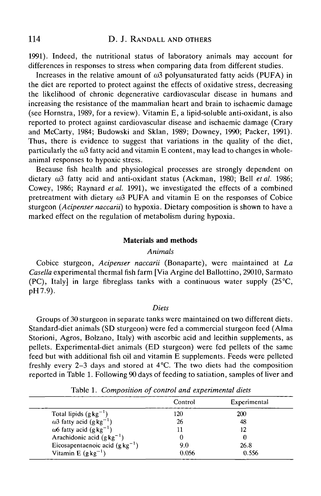1991). Indeed, the nutritional status of laboratory animals may account for differences in responses to stress when comparing data from different studies.

Increases in the relative amount of  $\omega^3$  polyunsaturated fatty acids (PUFA) in the diet are reported to protect against the effects of oxidative stress, decreasing the likelihood of chronic degenerative cardiovascular disease in humans and increasing the resistance of the mammalian heart and brain to ischaemic damage (see Hornstra, 1989, for a review). Vitamin E, a lipid-soluble anti-oxidant, is also reported to protect against cardiovascular disease and ischaemic damage (Crary and McCarty, 1984; Budowski and Sklan, 1989; Downey, 1990; Packer, 1991). Thus, there is evidence to suggest that variations in the quality of the diet, particularly the  $\omega_3$  fatty acid and vitamin E content, may lead to changes in wholeanimal responses to hypoxic stress.

Because fish health and physiological processes are strongly dependent on dietary  $\omega$ 3 fatty acid and anti-oxidant status (Ackman, 1980; Bell et al. 1986; Cowey, 1986; Raynard *etal.* 1991), we investigated the effects of a combined pretreatment with dietary  $\omega$ 3 PUFA and vitamin E on the responses of Cobice sturgeon *(Acipenser naccaril)* to hypoxia. Dietary composition is shown to have a marked effect on the regulation of metabolism during hypoxia.

### **Materials and methods**

### *Animals*

Cobice sturgeon, *Acipenser naccarii* (Bonaparte), were maintained at *La Casella* experimental thermal fish farm [Via Argine del Ballottino, 29010, Sarmato (PC), Italy] in large fibreglass tanks with a continuous water supply  $(25^{\circ}C,$ pH7.9).

### *Diets*

Groups of 30 sturgeon in separate tanks were maintained on two different diets. Standard-diet animals (SD sturgeon) were fed a commercial sturgeon feed (Alma Storioni, Agros, Bolzano, Italy) with ascorbic acid and lecithin supplements, as pellets. Experimental-diet animals (ED sturgeon) were fed pellets of the same feed but with additional fish oil and vitamin E supplements. Feeds were pelleted freshly every 2-3 days and stored at 4°C. The two diets had the composition reported in Table 1. Following 90 days of feeding to satiation, samples of liver and

|                                             | Control | Experimental |  |
|---------------------------------------------|---------|--------------|--|
| Total lipids $(g kg^{-1})$                  | 120     | <b>200</b>   |  |
| $\omega$ 3 fatty acid (g kg <sup>-1</sup> ) | 26      | 48           |  |
| $\omega$ 6 fatty acid (g kg <sup>-1</sup> ) |         | 12           |  |
| Arachidonic acid $(g \, kg^{-1})$           |         |              |  |
| Eicosapentaenoic acid $(g kg^{-1})$         | 9.0     | 26.8         |  |
| Vitamin E $(g kg^{-1})$                     | 0.056   | 0.556        |  |

Table 1. *Composition of control and experimental diets*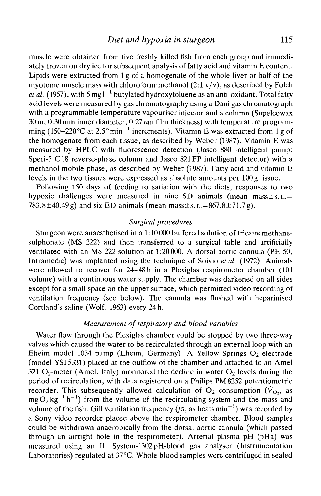muscle were obtained from five freshly killed fish from each group and immediately frozen on dry ice for subsequent analysis of fatty acid and vitamin E content. Lipids were extracted from 1 g of a homogenate of the whole liver or half of the myotome muscle mass with chloroform: methanol  $(2.1 \text{ v/v})$ , as described by Folch *et al.* (1957), with 5 mg l<sup>-1</sup> butylated hydroxytoluene as an anti-oxidant. Total fatty acid levels were measured by gas chromatography using a Dani gas chromatograph with a programmable temperature vapouriser injector and a column (Supelcowax  $30 \text{ m}$ , 0.30 mm inner diameter, 0.27  $\mu$ m film thickness) with temperature programming (150–220 °C at 2.5° min<sup>-1</sup> increments). Vitamin E was extracted from 1 g of the homogenate from each tissue, as described by Weber (1987). Vitamin E was measured by HPLC with fluorescence detection (Jasco 880 intelligent pump; Speri-5 C18 reverse-phase column and Jasco 821FP intelligent detector) with a methanol mobile phase, as described by Weber (1987). Fatty acid and vitamin E levels in the two tissues were expressed as absolute amounts per 100g tissue.

Following 150 days of feeding to satiation with the diets, responses to two hypoxic challenges were measured in nine SD animals (mean mass  $\pm$  s.  $E =$ 783.8 $\pm$ 40.49g) and six ED animals (mean mass $\pm$ s.e.=867.8 $\pm$ 71.7g).

### *Surgical procedures*

Sturgeon were anaesthetised in a 1:10000 buffered solution of tricainemethanesulphonate (MS 222) and then transferred to a surgical table and artificially ventilated with an MS 222 solution at 1:20000. A dorsal aortic cannula (PE 50, Intramedic) was implanted using the technique of Soivio *et al.* (1972). Animals were allowed to recover for 24-48 h in a Plexiglas respirometer chamber (101 volume) with a continuous water supply. The chamber was darkened on all sides except for a small space on the upper surface, which permitted video recording of ventilation frequency (see below). The cannula was flushed with heparinised Cortland's saline (Wolf, 1963) every 24 h.

### *Measurement of respiratory and blood variables*

Water flow through the Plexiglas chamber could be stopped by two three-way valves which caused the water to be recirculated through an external loop with an Eheim model 1034 pump (Eheim, Germany). A Yellow Springs  $O<sub>2</sub>$  electrode (model YSI5331) placed at the outflow of the chamber and attached to an Amel 321 O<sub>2</sub>-meter (Amel, Italy) monitored the decline in water  $O_2$  levels during the period of recirculation, with data registered on a Philips PM8252 potentiometric recorder. This subsequently allowed calculation of  $O_2$  consumption  $(\dot{V}_{O_2})$  as  $mgO<sub>2</sub>$  kg<sup>-1</sup> h<sup>-1</sup>) from the volume of the recirculating system and the mass and volume of the fish. Gill ventilation frequency  $(f_G)$ , as beats min<sup>-1</sup>) was recorded by a Sony video recorder placed above the respirometer chamber. Blood samples could be withdrawn anaerobically from the dorsal aortic cannula (which passed through an airtight hole in the respirometer). Arterial plasma pH (pHa) was measured using an IL System-1302 pH-blood gas analyser (Instrumentation Laboratories) regulated at 37°C. Whole blood samples were centrifuged in sealed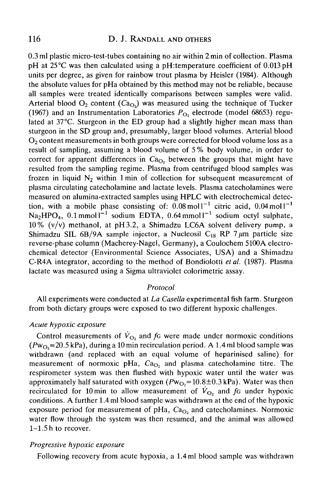### 116 D. J. RANDALL AND OTHERS

0.3 ml plastic micro-test-tubes containing no air within 2 min of collection. Plasma pH at 25°C was then calculated using a pH:temperature coefficient of 0.013 pH units per degree, as given for rainbow trout plasma by Heisler (1984). Although the absolute values for pHa obtained by this method may not be reliable, because all samples were treated identically comparisons between samples were valid. Arterial blood  $O_2$  content  $(Ca<sub>O</sub>)$  was measured using the technique of Tucker (1967) and an Instrumentation Laboratories  $P_{\text{O}_2}$  electrode (model 68653) regulated at 37°C. Sturgeon in the ED group had a slightly higher mean mass than sturgeon in the SD group and, presumably, larger blood volumes. Arterial blood  $O<sub>2</sub>$  content measurements in both groups were corrected for blood volume loss as a result of sampling, assuming a blood volume of 5 % body volume, in order to correct for apparent differences in  $Ca<sub>O</sub>$ , between the groups that might have resulted from the sampling regime. Plasma from centrifuged blood samples was frozen in liquid  $N_2$  within 1 min of collection for subsequent measurement of plasma circulating catecholamine and lactate levels. Plasma catecholamines were measured on alumina-extracted samples using HPLC with electrochemical detection, with a mobile phase consisting of:  $0.08 \text{ mol}^{-1}$  citric acid,  $0.04 \text{ mol}^{-1}$  $N_{a}$ HPO<sub>4</sub>, 0.1 mmoll<sup>-1</sup> sodium EDTA, 0.64 mmoll<sup>-1</sup> sodium octyl sulphate. 10% (v/v) methanol, at pH3.2, a Shimadzu LC6A solvent delivery pump, a Shimadzu SIL 6B/9A sample injector, a Nucleosil  $C_{18}$  RP 7  $\mu$ m particle size reverse-phase column (Macherey-Nagel, Germany), a Coulochem 5100A electrochemical detector (Environmental Science Associates, USA) and a Shimadzu C-R4A integrator, according to the method of Bondiolotti *etal.* (1987). Plasma lactate was measured using a Sigma ultraviolet colorimetric assay.

### *Protocol*

All experiments were conducted at *La Casella* experimental fish farm. Sturgeon from both dietary groups were exposed to two different hypoxic challenges.

### *Acute hypoxic exposure*

Control measurements of  $\dot{V}_{\Omega}$ , and f<sub>G</sub> were made under normoxic conditions  $(Pw<sub>O</sub>=20.5 kPa)$ , during a 10 min recirculation period. A 1.4 ml blood sample was withdrawn (and replaced with an equal volume of heparinised saline) for measurement of normoxic pHa, Ca<sub>O</sub>, and plasma catecholamine titre. The respirometer system was then flushed with hypoxic water until the water was approximately half saturated with oxygen ( $Pw_{O2}=10.8\pm0.3$  kPa). Water was then recirculated for 10 min to allow measurement of  $\dot{V}_{\text{O}_2}$  and f<sub>G</sub> under hypoxic conditions. A further 1.4 ml blood sample was withdrawn at the end of the hypoxic exposure period for measurement of pHa,  $Ca<sub>O</sub>$  and catecholamines. Normoxic water flow through the system was then resumed, and the animal was allowed 1-1.5 h to recover.

### *Progressive hypoxic exposure*

Following recovery from acute hypoxia, a 1.4 ml blood sample was withdrawn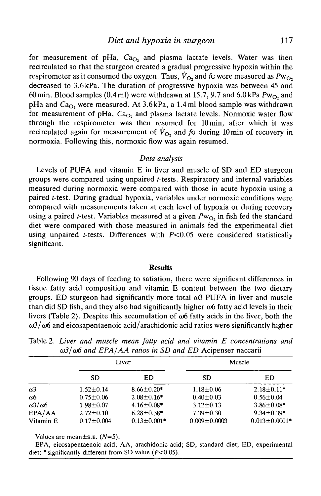for measurement of pHa,  $Ca<sub>O</sub>$ , and plasma lactate levels. Water was then recirculated so that the sturgeon created a gradual progressive hypoxia within the respirometer as it consumed the oxygen. Thus,  $\dot{V}_{\Omega}$  and f<sub>G</sub> were measured as  $Pw_{\Omega}$ , decreased to 3.6 kPa. The duration of progressive hypoxia was between 45 and 60min. Blood samples (0.4 ml) were withdrawn at 15.7, 9.7 and 6.0kPa *Pwch* and pHa and  $Ca<sub>O<sub>2</sub></sub>$  were measured. At 3.6kPa, a 1.4ml blood sample was withdrawn for measurement of pHa,  $Ca<sub>O<sub>2</sub></sub>$  and plasma lactate levels. Normoxic water flow through the respirometer was then resumed for lOmin, after which it was recirculated again for measurement of  $\dot{V}_{\text{O}_2}$  and fo during 10 min of recovery in normoxia. Following this, normoxic flow was again resumed.

### *Data analysis*

Levels of PUFA and vitamin E in liver and muscle of SD and ED sturgeon groups were compared using unpaired /-tests. Respiratory and internal variables measured during normoxia were compared with those in acute hypoxia using a paired *t*-test. During gradual hypoxia, variables under normoxic conditions were compared with measurements taken at each level of hypoxia or during recovery using a paired *t*-test. Variables measured at a given  $Pw_{O_2}$  in fish fed the standard diet were compared with those measured in animals fed the experimental diet using unpaired *t*-tests. Differences with  $P<0.05$  were considered statistically significant.

#### **Results**

Following 90 days of feeding to satiation, there were significant differences in tissue fatty acid composition and vitamin E content between the two dietary groups. ED sturgeon had significantly more total  $\omega$ 3 PUFA in liver and muscle than did SD fish, and they also had significantly higher  $\omega$ 6 fatty acid levels in their livers (Table 2). Despite this accumulation of  $\omega$ 6 fatty acids in the liver, both the  $\omega/2/\omega$ 6 and eicosapentaenoic acid/arachidonic acid ratios were significantly higher

|                        | Liver            |                   | Muscle             |                     |
|------------------------|------------------|-------------------|--------------------|---------------------|
|                        | SD               | ED                | SD                 | ED                  |
| $\omega$ 3             | $1.52 \pm 0.14$  | $8.66 \pm 0.20*$  | $1.18 \pm 0.06$    | $2.18 \pm 0.11*$    |
| $\omega$               | $0.75 \pm 0.06$  | $2.08 \pm 0.16*$  | $0.40 \pm 0.03$    | $0.56 \pm 0.04$     |
| $\omega$ 3/ $\omega$ 6 | $1.98 \pm 0.07$  | $4.16 \pm 0.08$ * | $3.12 \pm 0.13$    | $3.86 \pm 0.08$ *   |
| EPA/AA                 | $2.72 \pm 0.10$  | $6.28 \pm 0.38$ * | $7.39 \pm 0.30$    | $9.34 \pm 0.39$ *   |
| Vitamin E              | $0.17 \pm 0.004$ | $0.13 \pm 0.001*$ | $0.009 \pm 0.0003$ | $0.013 \pm 0.0001*$ |

Table *2. Liver and muscle mean fatty acid and vitamin E concentrations and*  $ω3/ω6$  and *EPA/AA ratios in SD and ED* Acipenser naccarii

Values are mean±s.E. *(N=5).*

EPA, eicosapentaenoic acid; AA, arachidonic acid; SD, standard diet; ED, experimental diet;  $*$  significantly different from SD value ( $P<0.05$ ).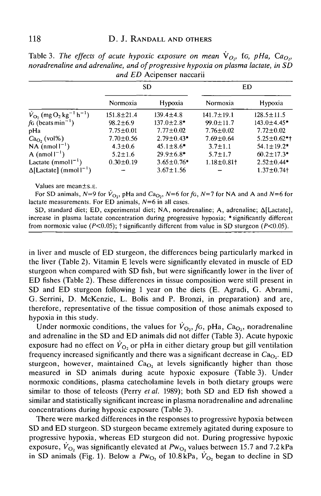| and ED Acipenser naccarii                                                    |                  |                   |                              |                    |  |  |  |  |
|------------------------------------------------------------------------------|------------------|-------------------|------------------------------|--------------------|--|--|--|--|
|                                                                              | <b>SD</b>        |                   | ED                           |                    |  |  |  |  |
|                                                                              | Normoxia         | <b>Hypoxia</b>    | Normoxia                     | Hypoxia            |  |  |  |  |
| $\dot{V}_{\text{O}_2}$ (mg O <sub>2</sub> kg <sup>-1</sup> h <sup>-1</sup> ) | $151.8 \pm 21.4$ | $139.4 \pm 4.8$   | $141.7 \pm 19.1$             | $128.5 \pm 11.5$   |  |  |  |  |
| $fG$ (beats min <sup>-1</sup> )                                              | $98.2 \pm 6.9$   | $137.0 \pm 2.8$ * | $99.0 \pm 11.7$              | $143.0 \pm 4.45$ * |  |  |  |  |
| pHa                                                                          | $7.75 \pm 0.01$  | $7.77 \pm 0.02$   | $7.76 \pm 0.02$              | $7.72 \pm 0.02$    |  |  |  |  |
| $Ca_{O_2}$ (vol%)                                                            | $7.70 \pm 0.56$  | $2.79 \pm 0.43*$  | $7.69 \pm 0.64$              | $5.25 \pm 0.62$ *† |  |  |  |  |
| NA $(nmol)^{-1}$                                                             | $4.3 \pm 0.6$    | $45.1 \pm 8.6$ *  | $3.7 \pm 1.1$                | $54.1 \pm 19.2^*$  |  |  |  |  |
| A (nmol $I^{-1}$ )                                                           | $5.2 \pm 1.6$    | $29.9 \pm 6.8$ *  | $5.7 \pm 1.7$                | $60.2 \pm 17.3*$   |  |  |  |  |
| Lactate $(mmol1^{-1})$                                                       | $0.30 \pm 0.19$  | $3.65 \pm 0.76$ * | $1.18 \pm 0.81$ <sup>+</sup> | $2.52 \pm 0.44$ *  |  |  |  |  |
| $\Delta$ [Lactate] (mmol $1^{-1}$ )                                          |                  | $3.67 \pm 1.56$   |                              | $1.37 + 0.74$      |  |  |  |  |

Table 3. The effects of acute hypoxic exposure on mean  $\dot{V}_{O}$ , fo, pHa, Ca<sub>O</sub>, *noradrenaline and adrenaline, and of progressive hypoxia on plasma lactate, In SD*

Values are mean±s.E.

For SD animals,  $N=9$  for  $V_{O_2}$ , pHa and  $Ca_{O_2}$ ,  $N=6$  for fg,  $N=7$  for NA and A and  $N=6$  for lactate measurements. For ED animals,  $N=6$  in all cases.

SD, standard diet; ED, experimental diet; NA, noradrenaline; A, adrenaline; AfLactate], increase in plasma lactate concentration during progressive hypoxia; \* significantly different from normoxic value ( $P<0.05$ ); † significantly different from value in SD sturgeon ( $P<0.05$ ).

in liver and muscle of ED sturgeon, the differences being particularly marked in the liver (Table 2). Vitamin E levels were significantly elevated in muscle of ED sturgeon when compared with SD fish, but were significantly lower in the liver of ED fishes (Table 2). These differences in tissue composition were still present in SD and ED sturgeon following 1 year on the diets (E. Agradi, G. Abrami, G. Serrini, D. McKenzie, L. Bolis and P. Bronzi, in preparation) and are, therefore, representative of the tissue composition of those animals exposed to hypoxia in this study.

Under normoxic conditions, the values for  $\dot{V}_{\text{Q}_2}$ ,  $f_G$ , pHa,  $Ca_{\text{Q}_2}$ , noradrenaline and adrenaline in the SD and ED animals did not differ (Table 3). Acute hypoxic exposure had no effect on  $\dot{V}_{\text{O}_2}$  or pHa in either dietary group but gill ventilation frequency increased significantly and there was a significant decrease in  $Ca<sub>O</sub>$ . ED sturgeon, however, maintained  $Ca<sub>O</sub>$ , at levels significantly higher than those measured in SD animals during acute hypoxic exposure (Table 3). Under normoxic conditions, plasma catecholamine levels in both dietary groups were similar to those of teleosts (Perry *etal.* 1989); both SD and ED fish showed a similar and statistically significant increase in plasma noradrenaline and adrenaline concentrations during hypoxic exposure (Table 3).

There were marked differences in the responses to progressive hypoxia between SD and ED sturgeon. SD sturgeon became extremely agitated during exposure to progressive hypoxia, whereas ED sturgeon did not. During progressive hypoxic exposure,  $\dot{V}_{\text{O}_2}$  was significantly elevated at  $Pw_{\text{O}_2}$  values between 15.7 and 7.2 kPa in SD animals (Fig. 1). Below a  $Pw_{\text{O}_2}$  of 10.8 kPa,  $\dot{V}_{\text{O}_2}$  began to decline in SD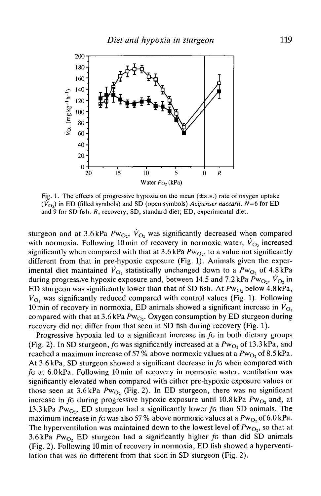

Fig. 1. The effects of progressive hypoxia on the mean  $(\pm s.\epsilon)$  rate of oxygen uptake  $(\dot{V}_{\text{O}2})$  in ED (filled symbols) and SD (open symbols) *Acipenser naccarii.* N=6 for ED and 9 for SD fish. *R,* recovery; SD, standard diet; ED, experimental diet.

sturgeon and at 3.6 kPa  $Pw_{O_2}$ ,  $\dot{V}_{O_2}$  was significantly decreased when compared with normoxia. Following 10 min of recovery in normoxic water,  $\dot{V}_{\text{O}_2}$  increased significantly when compared with that at  $3.6$  kPa  $Pw_{\text{O}_2}$ , to a value not significantly different from that in pre-hypoxic exposure (Fig. 1). Animals given the experimental diet maintained  $\dot{V}_{\text{O}_2}$  statistically unchanged down to a  $Pw_{\text{O}_2}$  of 4.8 kPa during progressive hypoxic exposure and, between 14.5 and 7.2 kPa  $Pw_{O_2}$ ,  $\dot{V}_{O_2}$  in ED sturgeon was significantly lower than that of SD fish. At  $Pw_{O_2}$  below 4.8 kPa,  $V_{\text{O}_2}$  was significantly reduced compared with control values (Fig. 1). Following 10 min of recovery in normoxia, ED animals showed a significant increase in  $\dot{V}_{\text{O}_2}$ compared with that at  $3.6$  kPa  $Pw_{O_2}$ . Oxygen consumption by ED sturgeon during recovery did not differ from that seen in SD fish during recovery (Fig. 1).

Progressive hypoxia led to a significant increase in fo in both dietary groups (Fig. 2). In SD sturgeon,  $f$ G was significantly increased at a  $Pw_{O_2}$  of 13.3 kPa, and reached a maximum increase of 57% above normoxic values at a Pw<sub>O</sub>, of 8.5 kPa. At 3.6 kPa, SD sturgeon showed a significant decrease *info* when compared with /G at 6.0 kPa. Following 10min of recovery in normoxic water, ventilation was significantly elevated when compared with either pre-hypoxic exposure values or those seen at 3.6kPa  $Pw_{O_2}$  (Fig. 2). In ED sturgeon, there was no significant increase in  $f$ G during progressive hypoxic exposure until 10.8 kPa  $Pw_{O_2}$  and, at 13.3 kPa  $Pw_{O_2}$ , ED sturgeon had a significantly lower for than SD animals. The maximum increase in fo was also 57% above normoxic values at a  $Pw_{O_2}$  of 6.0 kPa. The hyperventilation was maintained down to the lowest level of  $Pw_{\text{O}_2}$ , so that at 3.6 kPa  $Pw_{O_2}$  ED sturgeon had a significantly higher  $f_G$  than did SD animals (Fig. 2). Following 10 min of recovery in normoxia, ED fish showed a hyperventilation that was no different from that seen in SD sturgeon (Fig. 2).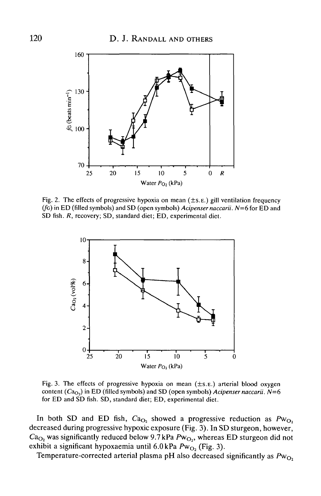

Fig. 2. The effects of progressive hypoxia on mean  $(\pm s.\mathbf{E})$  gill ventilation frequency (/c) in ED (filled symbols) and SD (open symbols) *Acipenser naccarii. N=6* for ED and SD fish. *R,* recovery; SD, standard diet; ED, experimental diet.



Fig. 3. The effects of progressive hypoxia on mean  $(\pm s.\text{E})$  arterial blood oxygen content ( $Ca<sub>O<sub>2</sub></sub>$ ) in ED (filled symbols) and SD (open symbols) *Acipenser naccarii.*  $N=6$ for ED and SD fish. SD, standard diet; ED, experimental diet.

In both SD and ED fish,  $Ca<sub>O<sub>2</sub></sub>$  showed a progressive reduction as  $Pw<sub>O<sub>2</sub></sub>$ decreased during progressive hypoxic exposure (Fig. 3). In SD sturgeon, however,  $Ca<sub>O<sub>2</sub></sub>$  was significantly reduced below 9.7 kPa  $Pw<sub>O<sub>2</sub></sub>$ , whereas ED sturgeon did not exhibit a significant hypoxaemia until  $6.0 \text{ kPa}$   $Pw_{\text{O}_2}$  (Fig. 3).

Temperature-corrected arterial plasma pH also decreased significantly as  $Pw_{O_2}$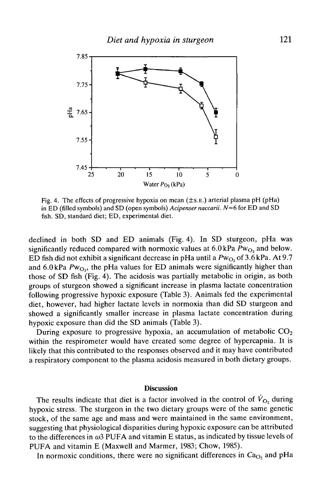

Fig. 4. The effects of progressive hypoxia on mean (±S.E.) arterial plasma pH (pHa) in ED (filled symbols) and SD (open symbols) *Acipenser naccarii. N=6* for ED and SD fish. SD, standard diet; ED, experimental diet.

declined in both SD and ED animals (Fig. 4). In SD sturgeon, pHa was significantly reduced compared with normoxic values at  $6.0 \text{ kPa } Pw_{O_2}$  and below. ED fish did not exhibit a significant decrease in pHa until a  $Pw_{O}$ , of 3.6 kPa. At 9.7 and  $6.0 \text{ kPa}$  Pw<sub>O</sub>, the pHa values for ED animals were significantly higher than those of SD fish (Fig. 4). The acidosis was partially metabolic in origin, as both groups of sturgeon showed a significant increase in plasma lactate concentration following progressive hypoxic exposure (Table 3). Animals fed the experimental diet, however, had higher lactate levels in normoxia than did SD sturgeon and showed a significantly smaller increase in plasma lactate concentration during hypoxic exposure than did the SD animals (Table 3).

During exposure to progressive hypoxia, an accumulation of metabolic  $CO<sub>2</sub>$ within the respirometer would have created some degree of hypercapnia. It is likely that this contributed to the responses observed and it may have contributed a respiratory component to the plasma acidosis measured in both dietary groups.

### **Discussion**

The results indicate that diet is a factor involved in the control of  $\dot{V}_{O_2}$  during hypoxic stress. The sturgeon in the two dietary groups were of the same genetic stock, of the same age and mass and were maintained in the same environment, suggesting that physiological disparities during hypoxic exposure can be attributed to the differences in  $\omega$ 3 PUFA and vitamin E status, as indicated by tissue levels of PUFA and vitamin E (Maxwell and Marmer, 1983; Chow, 1985).

In normoxic conditions, there were no significant differences in Ca<sub>O</sub>, and pHa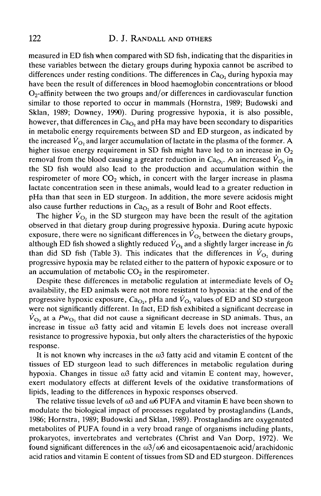## 122 D. J. RANDALL AND OTHERS

measured in ED fish when compared with SD fish, indicating that the disparities in these variables between the dietary groups during hypoxia cannot be ascribed to differences under resting conditions. The differences in  $Ca<sub>O</sub>$ , during hypoxia may have been the result of differences in blood haemoglobin concentrations or blood  $O<sub>2</sub>$ -affinity between the two groups and/or differences in cardiovascular function similar to those reported to occur in mammals (Hornstra, 1989; Budowski and Sklan, 1989; Downey, 1990). During progressive hypoxia, it is also possible, however, that differences in  $Ca<sub>O</sub>$  and pHa may have been secondary to disparities in metabolic energy requirements between SD and ED sturgeon, as indicated by the increased  $\dot{V}_{\Omega_2}$  and larger accumulation of lactate in the plasma of the former. A higher tissue energy requirement in SD fish might have led to an increase in  $O<sub>2</sub>$ removal from the blood causing a greater reduction in  $Ca<sub>O<sub>2</sub></sub>$ . An increased  $\dot{V}<sub>O<sub>2</sub></sub>$  in the SD fish would also lead to the production and accumulation within the respirometer of more  $CO<sub>2</sub>$  which, in concert with the larger increase in plasma lactate concentration seen in these animals, would lead to a greater reduction in pHa than that seen in ED sturgeon. In addition, the more severe acidosis might also cause further reductions in  $Ca<sub>O</sub>$ , as a result of Bohr and Root effects.

The higher  $\dot{V}_{\Omega}$  in the SD sturgeon may have been the result of the agitation observed in that dietary group during progressive hypoxia. During acute hypoxic exposure, there were no significant differences in  $\dot{V}_{\text{O}}$ , between the dietary groups, although ED fish showed a slightly reduced  $\dot{V}_{\text{O}_2}$  and a slightly larger increase in fo than did SD fish (Table 3). This indicates that the differences in  $\dot{V}_{\Omega}$  during progressive hypoxia may be related either to the pattern of hypoxic exposure or to an accumulation of metabolic  $CO<sub>2</sub>$  in the respirometer.

Despite these differences in metabolic regulation at intermediate levels of  $O<sub>2</sub>$ availability, the ED animals were not more resistant to hypoxia: at the end of the progressive hypoxic exposure,  $Ca<sub>O</sub>$ , pHa and  $\dot{V}<sub>O</sub>$ , values of ED and SD sturgeon were not significantly different. In fact, ED fish exhibited a significant decrease in  $\dot{V}_{\text{O}_2}$  at a Pw<sub>O2</sub>, that did not cause a significant decrease in SD animals. Thus, an increase in tissue  $\omega_3$  fatty acid and vitamin E levels does not increase overall resistance to progressive hypoxia, but only alters the characteristics of the hypoxic response.

It is not known why increases in the *w3* fatty acid and vitamin E content of the tissues of ED sturgeon lead to such differences in metabolic regulation during hypoxia. Changes in tissue  $\omega$ 3 fatty acid and vitamin E content may, however, exert modulatory effects at different levels of the oxidative transformations of lipids, leading to the differences in hypoxic responses observed.

The relative tissue levels of  $\omega_3$  and  $\omega_6$  PUFA and vitamin E have been shown to modulate the biological impact of processes regulated by prostaglandins (Lands, 1986; Hornstra, 1989; Budowski and Sklan, 1989). Prostaglandins are oxygenated metabolites of PUFA found in a very broad range of organisms including plants, prokaryotes, invertebrates and vertebrates (Christ and Van Dorp, 1972). We found significant differences in the  $\omega/6$  and eicosapentaenoic acid/arachidonic acid ratios and vitamin E content of tissues from SD and ED sturgeon. Differences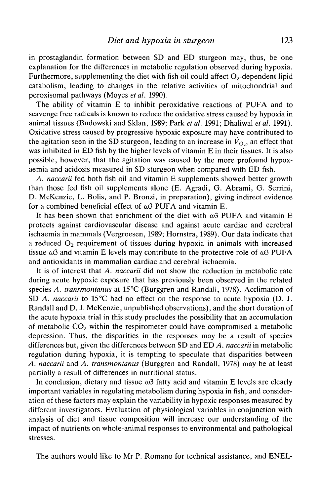in prostaglandin formation between SD and ED sturgeon may, thus, be one explanation for the differences in metabolic regulation observed during hypoxia. Furthermore, supplementing the diet with fish oil could affect  $O<sub>2</sub>$ -dependent lipid catabolism, leading to changes in the relative activities of mitochondrial and peroxisomal pathways (Moyes *etal.* 1990).

The ability of vitamin E to inhibit peroxidative reactions of PUFA and to scavenge free radicals is known to reduce the oxidative stress caused by hypoxia in animal tissues (Budowski and Sklan, 1989; Park *etal.* 1991; Dhaliwal *etal.* 1991). Oxidative stress caused by progressive hypoxic exposure may have contributed to the agitation seen in the SD sturgeon, leading to an increase in  $\dot{V}_{\text{O}_2}$ , an effect that was inhibited in ED fish by the higher levels of vitamin E in their tissues. It is also possible, however, that the agitation was caused by the more profound hypoxaemia and acidosis measured in SD sturgeon when compared with ED fish.

*A. naccarii* fed both fish oil and vitamin E supplements showed better growth than those fed fish oil supplements alone (E. Agradi, G. Abrami, G. Serrini, D. McKenzie, L. Bolis, and P. Bronzi, in preparation), giving indirect evidence for a combined beneficial effect of *co3* PUFA and vitamin E.

It has been shown that enrichment of the diet with  $\omega$ 3 PUFA and vitamin E protects against cardiovascular disease and against acute cardiac and cerebral ischaemia in mammals (Vergroesen, 1989; Hornstra, 1989). Our data indicate that a reduced  $O_2$  requirement of tissues during hypoxia in animals with increased tissue  $\omega$ 3 and vitamin E levels may contribute to the protective role of  $\omega$ 3 PUFA and antioxidants in mammalian cardiac and cerebral ischaemia.

It is of interest that *A. naccarii* did not show the reduction in metabolic rate during acute hypoxic exposure that has previously been observed in the related species *A. transmontanus* at 15°C (Burggren and Randall, 1978). Acclimation of SD *A. naccarii* to 15°C had no effect on the response to acute hypoxia (D. J. Randall and D. J. McKenzie, unpublished observations), and the short duration of the acute hypoxia trial in this study precludes the possibility that an accumulation of metabolic  $CO<sub>2</sub>$  within the respirometer could have compromised a metabolic depression. Thus, the disparities in the responses may be a result of species differences but, given the differences between SD and ED *A. naccarii* in metabolic regulation during hypoxia, it is tempting to speculate that disparities between *A. naccarii* and *A. transmontanus* (Burggren and Randall, 1978) may be at least partially a result of differences in nutritional status.

In conclusion, dietary and tissue  $\omega$ 3 fatty acid and vitamin E levels are clearly important variables in regulating metabolism during hypoxia in fish, and consideration of these factors may explain the variability in hypoxic responses measured by different investigators. Evaluation of physiological variables in conjunction with analysis of diet and tissue composition will increase our understanding of the impact of nutrients on whole-animal responses to environmental and pathological stresses.

The authors would like to Mr P. Romano for technical assistance, and ENEL-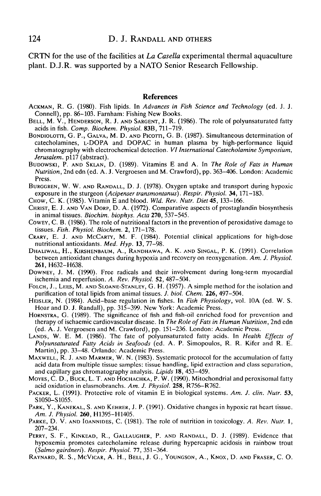CRTN for the use of the facilities at *La Casella* experimental thermal aquaculture plant. D.J.R. was supported by a NATO Senior Research Fellowship.

### References

- ACKMAN, R. G. (1980). Fish lipids. In *Advances in Fish Science and Technology* (ed. J. J.
- BELL, M. V., HENDERSON, R. J. AND SARGENT, J. R. (1986). The role of polyunsaturated fatty acids in fish. *Comp. Biochem. Physiol.* 83B, 711–719.
- BONDIOLOTTI, G. P., GALVA, M. D. AND PICOTTI, G. B. (1987). Simultaneous determination of catecholamines, L-DOPA and DOPAC in human plasma by high-performance liquid chromatography with electrochemical detection. *VI International Catecholamine Symposium, Jerusalem.* p117 (abstract).<br>BUDOWSKI, P. AND SKLAN, D. (1989). Vitamins E and A. In *The Role of Fats in Human*
- *Nutrition,* 2nd edn (ed. A. J. Vergroesen and M. Crawford), pp. 363-406. London: Academic Press.<br>BURGGREN, W. W. AND RANDALL, D. J. (1978). Oxygen uptake and transport during hypoxic
- 
- 
- exposure in the sturgeon (Acipenser transmontanus). Respir. Physiol. 34, 171–183.<br>CHOW, C. K. (1985). Vitamin E and blood. Wld. Rev. Nutr. Diet 45, 133–166.<br>CHRIST, E. J. AND VAN DORP, D. A. (1972). Comparative aspects of
- Cowey, C. B. (1986). The role of nutritional factors in the prevention of peroxidative damage to tissues. *Fish. Physiol. Biochem.* 2, 171–178.
- CRARY, E. J. AND McCARTY, M. F. (1984). Potential clinical applications for high-dose nutritional antioxidants. *Med. Hyp.* 13, 77–98.
- DHALIWAL, H., KIRSHENBAUM, A., RANDHAWA, A. K. AND SINGAL, P. K. (1991). Correlation between antioxidant changes during hypoxia and recovery on reoxygenation. *Am. J. Physiol.*
- DOWNEY, J. M. (1990). Free radicals and their involvement during long-term myocardial ischemia and reperfusion. A. Rev. Physiol. 52, 487–504.
- FOLCH, J., LEES, M. AND SLOANE-STANLEY, G. H. (1957). A simple method for the isolation and purification of total lipids from animal tissues. *J. biol. Chem.* 226, 497–504.
- HEISLER, N. (1984). Acid-base regulation in fishes. In Fish Physiology, vol. 10A (ed. W. S. Hoar and D. J. Randall), pp. 315-399. New York: Academic Press.
- HORNSTRA, G. (1989). The significance of fish and fish-oil enriched food for prevention and therapy of ischaemic cardiovascular disease. In *The Role of Fats in Human Nutrition,* 2nd edn
- LANDS, W. E. M. (1986). The fate of polyunsaturated fatty acids. In *Health Effects of Polyunsaturated Fatty Acids in Seafoods* (ed. A. P. Simopoulos, R. R. Kifer and R. E. Martin), pp. 33–48. Orlando: Academic Press.<br>MAXWELL, R. J. AND MARMER, W. N. (1983). Systematic protocol for the accumulation of fatty
- acid data from multiple tissue samples: tissue handling, lipid extraction and class separation,<br>and capillary gas chromatography analysis. Lipids 18, 453–459.<br>Moves, C. D., Buck, L. T. AND HOCHACHKA, P. W. (1990). Mitochon
- 
- PACKER, L. (1991). Protective role of vitamin E in biological systems. *Am. J. clin. Nutr.* 53, S1050–S1055.
- PARK, Y., KANEKAL, S. AND KEHRER, J. P. (1991). Oxidative changes in hypoxic rat heart tissue.<br>Am. J. Physiol. 260, H1395-H1405.
- PARKE, D. V. AND IOANNIDES, C. (1981). The role of nutrition in toxicology. A. Rev. Nutr. 1, 207–234.<br>207–234.<br>PERRY, S. F., KINKEAD, R., GALLAUGHER, P. AND RANDALL, D. J. (1989). Evidence that
- hypoxemia promotes catecholamine release during hypercapnic acidosis in rainbow trout *(Salmo gairdneri). Respir. Physiol.* 77, 351-364.
- RAYNARD, R. S., MCVICAR, A. H., BELL, J. G., YOUNGSON, A., KNOX, D. AND FRASER, C. O.